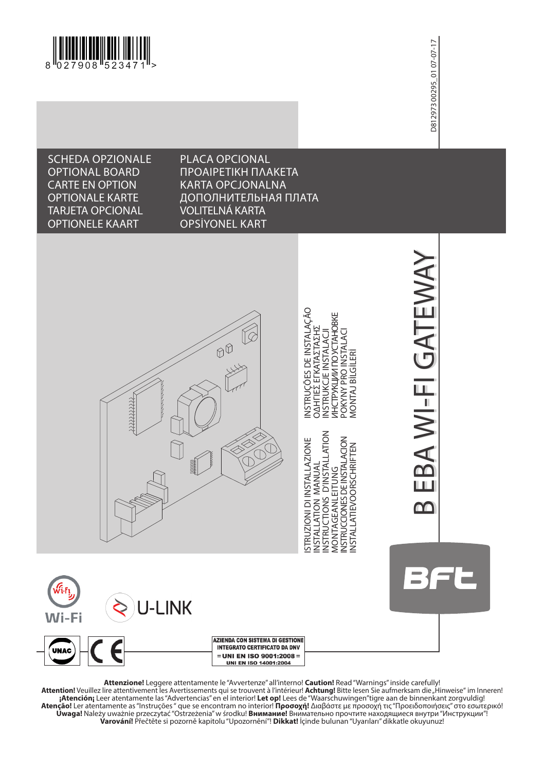

SCHEDA OPZIONALE OPTIONAL BOARD CARTE EN OPTION OPTIONALE KARTE TARJETA OPCIONAL OPTIONELE KAART

PLACA OPCIONAL ΠΡΟΑΙΡΕΤΙΚΗ ΠΛΑΚΕΤΑ KARTA OPCJONALNA ДОПОЛНИТЕЛЬНАЯ ПЛАТА VOLITELNÁ KARTA OPSİYONEL KART





**Attenzione!** Leggere attentamente le "Avvertenze" all'interno! **Caution!** Read "Warnings" inside carefully!<br>Attention! Veuille lire attentivement les Avertissements qui se trouvent à l'intérieur! **Achtung!** Bitte lesen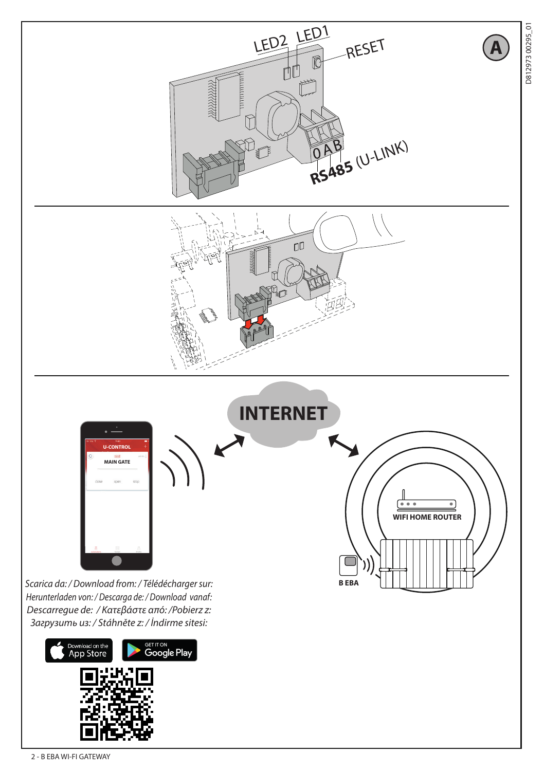

D81297300295\_01 D812973 00295\_01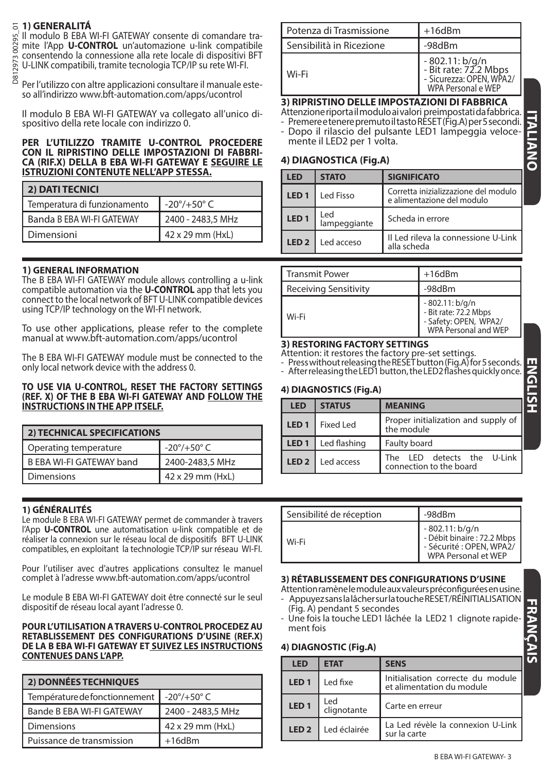# **1) GENERALITÁ** D812973 00295\_01

2973  $\overline{8}$ 

Il modulo B EBA WI-FI GATEWAY consente di comandare tra mite l'App **U-CONTROL** un'automazione u-link compatibile consentendo la connessione alla rete locale di dispositivi BFT U-LINK compatibili, tramite tecnologia TCP/IP su rete WI-FI.

Per l'utilizzo con altre applicazioni consultare il manuale este so all'indirizzo www.bft-automation.com/apps/ucontrol

Il modulo B EBA WI-FI GATEWAY va collegato all'unico di- spositivo della rete locale con indirizzo 0.

### **PER L'UTILIZZO TRAMITE U-CONTROL PROCEDERE CA (RIF.X) DELLA B EBA WI-FI GATEWAY E SEGUIRE LE ISTRUZIONI CONTENUTE NELL'APP STESSA.**

| 2) DATI TECNICI              |                                  |  |
|------------------------------|----------------------------------|--|
| Temperatura di funzionamento | -20 $^{\circ}$ /+50 $^{\circ}$ C |  |
| Banda B EBA WI-FI GATEWAY    | 2400 - 2483,5 MHz                |  |
| Dimensioni                   | 42 x 29 mm (HxL)                 |  |

#### **1) GENERAL INFORMATION**

The B EBA WI-FI GATEWAY module allows controlling a u-link compatible automation via the **U-CONTROL** app that lets you connect to the local network of BFT U-LINK compatible devices using TCP/IP technology on the WI-FI network.

To use other applications, please refer to the complete manual at www.bft-automation.com/apps/ucontrol

The B EBA WI-FI GATEWAY module must be connected to the only local network device with the address 0.

#### **TO USE VIA U-CONTROL, RESET THE FACTORY SETTINGS (REF. X) OF THE B EBA WI-FI GATEWAY AND FOLLOW THE INSTRUCTIONS IN THE APP ITSELF.**

| 2) TECHNICAL SPECIFICATIONS |                             |  |
|-----------------------------|-----------------------------|--|
| Operating temperature       | $-20^{\circ}/+50^{\circ}$ C |  |
| B EBA WI-FI GATEWAY band    | 2400-2483,5 MHz             |  |
| <b>Dimensions</b>           | 42 x 29 mm (HxL)            |  |

#### **1) GÉNÉRALITÉS**

Le module B EBA WI-FI GATEWAY permet de commander à travers l'App **U-CONTROL** une automatisation u-link compatible et de réaliser la connexion sur le réseau local de dispositifs BFT U-LINK compatibles, en exploitant la technologie TCP/IP sur réseau WI-FI.

Pour l'utiliser avec d'autres applications consultez le manuel complet à l'adresse www.bft-automation.com/apps/ucontrol

Le module B EBA WI-FI GATEWAY doit être connecté sur le seul dispositif de réseau local ayant l'adresse 0.

#### **POUR L'UTILISATION A TRAVERS U-CONTROL PROCEDEZ AU RETABLISSEMENT DES CONFIGURATIONS D'USINE (REF.X) DE LA B EBA WI-FI GATEWAY ET SUIVEZ LES INSTRUCTIONS CONTENUES DANS L'APP.**

| <b>2) DONNÉES TECHNIQUES</b>  |                             |  |
|-------------------------------|-----------------------------|--|
| Température de fonctionnement | $-20^{\circ}/+50^{\circ}$ C |  |
| Bande B EBA WI-FI GATEWAY     | 2400 - 2483,5 MHz           |  |
| <b>Dimensions</b>             | 42 x 29 mm (HxL)            |  |
| Puissance de transmission     | $+16$ d $Bm$                |  |

| Potenza di Trasmissione  | $+16$ d $Bm$                                                                               |
|--------------------------|--------------------------------------------------------------------------------------------|
| Sensibilità in Ricezione | -98dBm                                                                                     |
| Wi-Fi                    | - 802.11: b/g/n<br>- Bit rate: 72.2 Mbps<br>- Sicurezza: OPEN, WPA2/<br>WPA Personal e WEP |

#### **3) RIPRISTINO DELLE IMPOSTAZIONI DI FABBRICA**

Attenzione riporta il modulo ai valori preimpostati da fabbrica.

- Premere e tenere premuto il tasto RESET (Fig.A) per 5 secondi.

#### **4) DIAGNOSTICA (Fig.A)**

| LED              | <b>STATO</b>        | <b>SIGNIFICATO</b>                                                 |
|------------------|---------------------|--------------------------------------------------------------------|
| LED <sub>1</sub> | Led Fisso           | Corretta inizializzazione del modulo<br>e alimentazione del modulo |
| LED <sub>1</sub> | Led<br>lampeggiante | Scheda in errore                                                   |
| LED <sub>2</sub> | Led acceso          | Il Led rileva la connessione U-Link<br>alla scheda                 |

| <b>Transmit Power</b>        | $+16$ d $Bm$                                                                              |
|------------------------------|-------------------------------------------------------------------------------------------|
| <b>Receiving Sensitivity</b> | -98dBm                                                                                    |
| Wi-Fi                        | - 802.11: b/g/n<br>- Bit rate: 72.2 Mbps<br>- Safety: OPEN, WPA2/<br>WPA Personal and WEP |

**3) RESTORING FACTORY SETTINGS**

- Press without releasing the RESET button (Fig.A) for 5 seconds.
- After releasing the LED1 button, the LED2 flashes quickly once.

#### **4) DIAGNOSTICS (Fig.A)**

| <b>LED</b>       | <b>STATUS</b>    | <b>MEANING</b>                                        |  |
|------------------|------------------|-------------------------------------------------------|--|
| LED <sub>1</sub> | <b>Fixed Led</b> | Proper initialization and supply of<br>the module     |  |
| LED <sub>1</sub> | Led flashing     | Faulty board                                          |  |
| LED <sub>2</sub> | Led access       | The LED detects the U-Link<br>connection to the board |  |

| Sensibilité de réception | -98dBm                                                                                                    |
|--------------------------|-----------------------------------------------------------------------------------------------------------|
| Wi-Fi                    | $-802.11: b/q/n$<br>- Débit binaire : 72.2 Mbps<br>- Sécurité : OPEN, WPA2/<br><b>WPA Personal et WEP</b> |

#### **3) RÉTABLISSEMENT DES CONFIGURATIONS D'USINE**

- Attention ramène le module aux valeurs préconfigurées en usine. - Appuyez sans la lâcher sur la touche RESET/RÉINITIALISATION (Fig. A) pendant 5 secondes
- Une fois la touche LED1 lâchée la LED2 1 clignote rapide- ment fois

### **4) DIAGNOSTIC (Fig.A)**

| Appayez Saris la lacriei sur la touche NEJE I/INEINITIAEIJATION<br>(Fig. A) pendant 5 secondes<br>- Une fois la touche LED1 lâchée la LED2 1 clignote rapide-<br>ment fois<br>4) DIAGNOSTIC (Fig.A) |                    |                                                                | Š |
|-----------------------------------------------------------------------------------------------------------------------------------------------------------------------------------------------------|--------------------|----------------------------------------------------------------|---|
| <b>LED</b>                                                                                                                                                                                          | <b>ETAT</b>        | <b>SENS</b>                                                    |   |
| LED <sub>1</sub>                                                                                                                                                                                    | Led fixe           | Initialisation correcte du module<br>et alimentation du module |   |
| LED <sub>1</sub>                                                                                                                                                                                    | Led<br>clignotante | Carte en erreur                                                |   |
| LED <sub>2</sub>                                                                                                                                                                                    | Led éclairée       | La Led révèle la connexion U-Link<br>sur la carte              |   |

<sup>-</sup> Dopo il rilascio del pulsante LED1 lampeggia veloce- mente il LED2 per 1 volta.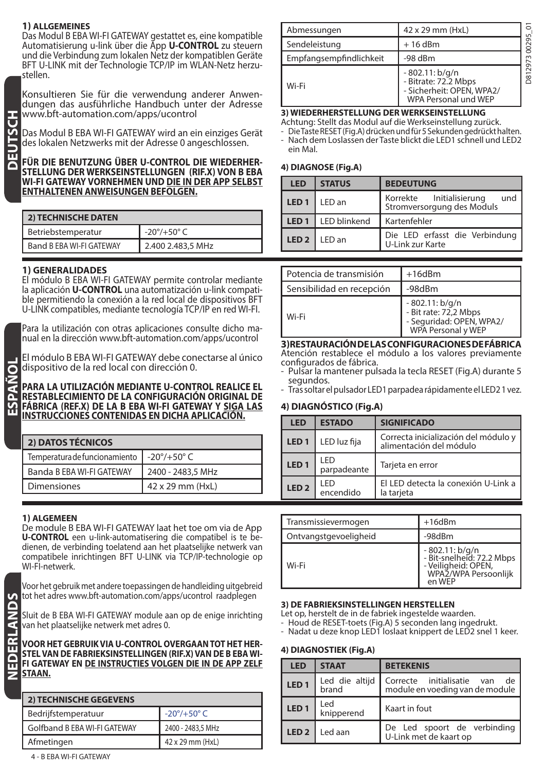### **1) ALLGEMEINES**

Das Modul B EBA WI-FI GATEWAY gestattet es, eine kompatible Automatisierung u-link über die App **U-CONTROL** zu steuern und die Verbindung zum lokalen Netz der kompatiblen Geräte BFT U-LINK mit der Technologie TCP/IP im WLAN-Netz herzu stellen.

Konsultieren Sie für die verwendung anderer Anwen- dungen das ausführliche Handbuch unter der Adresse www.bft-automation.com/apps/ucontrol

Das Modul B EBA WI-FI GATEWAY wird an ein einziges Gerät des lokalen Netzwerks mit der Adresse 0 angeschlossen.

**FÜR DIE BENUTZUNG ÜBER U-CONTROL DIE WIEDERHER- STELLUNG DER WERKSEINSTELLUNGEN (RIF.X) VON B EBA WI-FI GATEWAY VORNEHMEN UND DIE IN DER APP SELBST ENTHALTENEN ANWEISUNGEN BEFOLGEN.**

| <b>2) TECHNISCHE DATEN</b> |                             |  |
|----------------------------|-----------------------------|--|
| Betriebstemperatur         | $-20^{\circ}/+50^{\circ}$ C |  |
| Band B EBA WI-FI GATEWAY   | 2.400 2.483,5 MHz           |  |

#### **1) GENERALIDADES**

El módulo B EBA WI-FI GATEWAY permite controlar mediante la aplicación **U-CONTROL** una automatización u-link compati ble permitiendo la conexión a la red local de dispositivos BFT U-LINK compatibles, mediante tecnología TCP/IP en red WI-FI.

Para la utilización con otras aplicaciones consulte dicho ma nual en la dirección www.bft-automation.com/apps/ucontrol

El módulo B EBA WI-FI GATEWAY debe conectarse al único dispositivo de la red local con dirección 0.

**PARA LA UTILIZACIÓN MEDIANTE U-CONTROL REALICE EL RESTABLECIMIENTO DE LA CONFIGURACIÓN ORIGINAL DE FÁBRICA (REF.X) DE LA B EBA WI-FI GATEWAY Y SIGA LAS INSTRUCCIONES CONTENIDAS EN DICHA APLICACIÓN.**

| <b>2) DATOS TÉCNICOS</b>                   |                   |  |
|--------------------------------------------|-------------------|--|
| Temperatura de funcionamiento   -20°/+50°C |                   |  |
| Banda B EBA WI-FI GATEWAY                  | 2400 - 2483,5 MHz |  |
| <b>Dimensiones</b>                         | 42 x 29 mm (HxL)  |  |

#### **1) ALGEMEEN**

**NEDERLANDS ESPAÑOL DEUTSCH**

**PS** z ⋜ 줊 c ١π

**DO** ⋖ r M

Ŧ ЙLЙ 帍 c

> De module B EBA WI-FI GATEWAY laat het toe om via de App **U-CONTROL** een u-link-automatisering die compatibel is te be dienen, de verbinding toelatend aan het plaatselijke netwerk van compatibele inrichtingen BFT U-LINK via TCP/IP-technologie op WI-FI-netwerk.

> Voor het gebruik met andere toepassingen de handleiding uitgebreid tot het adres www.bft-automation.com/apps/ucontrol raadplegen

> Sluit de B EBA WI-FI GATEWAY module aan op de enige inrichting van het plaatselijke netwerk met adres 0.

#### **VOOR HET GEBRUIK VIA U-CONTROL OVERGAAN TOT HET HER- STEL VAN DE FABRIEKSINSTELLINGEN (RIF.X) VAN DE B EBA WI-FI GATEWAY EN DE INSTRUCTIES VOLGEN DIE IN DE APP ZELF STAAN.**

| <b>2) TECHNISCHE GEGEVENS</b> |                             |  |
|-------------------------------|-----------------------------|--|
| Bedrijfstemperatuur           | $-20^{\circ}/+50^{\circ}$ C |  |
| Golfband B EBA WI-FI GATEWAY  | 2400 - 2483,5 MHz           |  |
| Afmetingen                    | 42 x 29 mm (HxL)            |  |

| Abmessungen             | 42 x 29 mm (HxL)                                                                             | 5                 |
|-------------------------|----------------------------------------------------------------------------------------------|-------------------|
| Sendeleistung           | $+16$ dBm                                                                                    | 95<br>$rac{2}{3}$ |
| Empfangsempfindlichkeit | $-98$ dBm                                                                                    | 2973              |
| Wi-Fi                   | - 802.11: b/g/n<br>- Bitrate: 72.2 Mbps<br>- Sicherheit: OPEN, WPA2/<br>WPA Personal und WEP | $\overline{281}$  |

## **3) WIEDERHERSTELLUNG DER WERKSEINSTELLUNG**

- Die Taste RESET (Fig.A) drücken und für 5 Sekunden gedrückt halten. - Nach dem Loslassen der Taste blickt die LED1 schnell und LED2
- ein Mal.

#### **4) DIAGNOSE (Fig.A)**

| <b>LED</b> | <b>STATUS</b>      | <b>BEDEUTUNG</b>                                           |
|------------|--------------------|------------------------------------------------------------|
|            | LED $1$ LED an     | Korrekte Initialisierung und<br>Stromversorgung des Moduls |
|            | LED 1 LED blinkend | Kartenfehler                                               |
|            | LED 2   LED an     | Die LED erfasst die Verbindung<br>U-Link zur Karte         |

| Potencia de transmisión   | $+16$ d $Bm$                                                                               |
|---------------------------|--------------------------------------------------------------------------------------------|
| Sensibilidad en recepción | -98dBm                                                                                     |
| Wi-Fi                     | - 802.11: b/g/n<br>- Bit rate: 72,2 Mbps<br>- Seguridad: OPEN, WPA2/<br>WPA Personal y WEP |

#### **3)RESTAURACIÓN DE LAS CONFIGURACIONES DE FÁBRICA** Atención restablece el módulo a los valores previamente configurados de fábrica.

- Pulsar la mantener pulsada la tecla RESET (Fig.A) durante 5 segundos.
- Tras soltar el pulsador LED1 parpadea rápidamente el LED2 1 vez.

#### **4) DIAGNÓSTICO (Fig.A)**

| LED              | <b>ESTADO</b>      | <b>SIGNIFICADO</b>                                              |
|------------------|--------------------|-----------------------------------------------------------------|
| LED <sub>1</sub> | LED luz fija       | Correcta inicialización del módulo y<br>alimentación del módulo |
| LED <sub>1</sub> | LED<br>parpadeante | Tarjeta en error                                                |
| LED <sub>2</sub> | I FD<br>encendido  | El LED detecta la conexión U-Link a<br>la tarjeta               |

| Transmissievermogen   | $+16$ d $Bm$                                                                                          |
|-----------------------|-------------------------------------------------------------------------------------------------------|
| Ontvangstgevoeligheid | -98dBm                                                                                                |
| Wi-Fi                 | - 802.11: b/g/n<br>- Bit-snelheid: 72.2 Mbps<br>- Veiligheid: OPEN,<br>WPA2/WPA Persoonlijk<br>en WFP |

## **3) DE FABRIEKSINSTELLINGEN HERSTELLEN**

- Houd de RESET-toets (Fig.A) 5 seconden lang ingedrukt.
- Nadat u deze knop LED1 loslaat knippert de LED2 snel 1 keer.

#### **4) DIAGNOSTIEK (Fig.A)**

| <b>LED</b>       | <b>STAAT</b>            | <b>BETEKENIS</b>                                                 |
|------------------|-------------------------|------------------------------------------------------------------|
| LED <sub>1</sub> | Led die altijd<br>brand | Correcte initialisatie van de<br>module en voeding van de module |
| LED <sub>1</sub> | Led<br>knipperend       | Kaart in fout                                                    |
| LED <sub>2</sub> | Led aan                 | De Led spoort de verbinding<br>U-Link met de kaart op            |

4 - B EBA WI-FI GATEWAY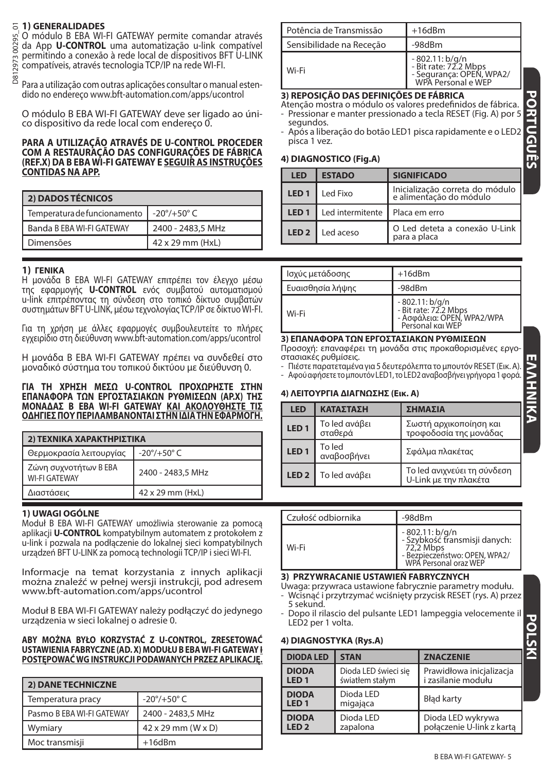#### **1) GENERALIDADES**

O módulo B EBA WI-FI GATEWAY permite comandar através da App **U-CONTROL** uma automatização u-link compatível permitindo a conexão à rede local de dispositivos BFT U-LINK compatíveis, através tecnologia TCP/IP na rede WI-FI.

D812973 00295\_01 2973  $\overline{8}$ 

Para a utilização com outras aplicações consultar o manual esten dido no endereço www.bft-automation.com/apps/ucontrol

O módulo B EBA WI-FI GATEWAY deve ser ligado ao úni- co dispositivo da rede local com endereço 0.

#### **PARA A UTILIZAÇÃO ATRAVÉS DE U-CONTROL PROCEDER COM A RESTAURAÇÃO DAS CONFIGURAÇÕES DE FÁBRICA (REF.X) DA B EBA WI-FI GATEWAY E SEGUIR AS INSTRUÇÕES CONTIDAS NA APP.**

| 2) DADOS TÉCNICOS                          |                   |
|--------------------------------------------|-------------------|
| Temperatura de funcionamento   -20°/+50° C |                   |
| Banda B EBA WI-FI GATEWAY                  | 2400 - 2483,5 MHz |
| Dimensões                                  | 42 x 29 mm (HxL)  |

#### **1) ΓΕΝΙΚΑ**

Η μονάδα B EBA WI-FI GATEWAY επιτρέπει τον έλεγχο μέσω της εφαρμογής **U-CONTROL** ενός συμβατού αυτοματισμού u-link επιτρέποντας τη σύνδεση στο τοπικό δίκτυο συμβατών συστημάτων BFT U-LINK, μέσω τεχνολογίας TCP/IP σε δίκτυο WI-FI.

Για τη χρήση με άλλες εφαρμογές συμβουλευτείτε το πλήρες εγχειρίδιο στη διεύθυνση www.bft-automation.com/apps/ucontrol

Η μονάδα B EBA WI-FI GATEWAY πρέπει να συνδεθεί στο μοναδικό σύστημα του τοπικού δικτύου με διεύθυνση 0.

**ΓΙΑ ΤΗ ΧΡΗΣΗ ΜΕΣΩ U-CONTROL ΠΡΟΧΩΡΗΣΤΕ ΣΤΗΝ ΕΠΑΝΑΦΟΡΑ ΤΩΝ ΕΡΓΟΣΤΑΣΙΑΚΩΝ ΡΥΘΜΙΣΕΩΝ (ΑΡ.X) ΤΗΣ ΜΟΝΑΔΑΣ B EBA WI-FI GATEWAY ΚΑΙ ΑΚΟΛΟΥΘΗΣΤΕ ΤΙΣ ΟΔΗΓΙΕΣ ΠΟΥ ΠΕΡΙΛΑΜΒΑΝΟΝΤΑΙ ΣΤΗΝ ΙΔΙΑ ΤΗΝ ΕΦΑΡΜΟΓΗ.**

| 2) ΤΕΧΝΙΚΑ ΧΑΡΑΚΤΗΡΙΣΤΙΚΑ                     |                             |
|-----------------------------------------------|-----------------------------|
| Θερμοκρασία λειτουργίας                       | $-20^{\circ}/+50^{\circ}$ C |
| Ζώνη συχνοτήτων Β ΕΒΑ<br><b>WI-FI GATFWAY</b> | 2400 - 2483,5 MHz           |
| Διαστάσεις                                    | $42 \times 29$ mm (HxL)     |

#### **1) UWAGI OGÓLNE**

Moduł B EBA WI-FI GATEWAY umożliwia sterowanie za pomocą aplikacji **U-CONTROL** kompatybilnym automatem z protokołem z u-link i pozwala na podłączenie do lokalnej sieci kompatybilnych urządzeń BFT U-LINK za pomocą technologii TCP/IP i sieci WI-FI.

Informacje na temat korzystania z innych aplikacji można znaleźć w pełnej wersji instrukcji, pod adresem www.bft-automation.com/apps/ucontrol

Moduł B EBA WI-FI GATEWAY należy podłączyć do jedynego urządzenia w sieci lokalnej o adresie 0.

#### **ABY MOŻNA BYŁO KORZYSTAĆ Z U-CONTROL, ZRESETOWAĆ USTAWIENIA FABRYCZNE (AD. X) MODUŁU B EBA WI-FI GATEWAY I POSTĘPOWAĆ WG INSTRUKCJI PODAWANYCH PRZEZ APLIKACJĘ.**

| <b>2) DANE TECHNICZNE</b> |                             |
|---------------------------|-----------------------------|
| Temperatura pracy         | $-20^{\circ}/+50^{\circ}$ C |
| Pasmo B EBA WI-FI GATEWAY | 2400 - 2483,5 MHz           |
| Wymiary                   | 42 x 29 mm (W x D)          |
| Moc transmisji            | $+16$ d $Bm$                |

| Potência de Transmissão  | $+16$ d $Bm$                                                                               |
|--------------------------|--------------------------------------------------------------------------------------------|
| Sensibilidade na Receção | -98dBm                                                                                     |
| Wi-Fi                    | - 802.11: b/g/n<br>- Bit rate: 72.2 Mbps<br>- Segurança: OPEN, WPA2/<br>WPA Personal e WEP |

- **3) REPOSIÇÃO DAS DEFINIÇÕES DE FÁBRICA** - Pressionar e manter pressionado a tecla RESET (Fig. A) por 5 segundos.
- Após a liberação do botão LED1 pisca rapidamente e o LED2 pisca 1 vez.

#### **4) DIAGNOSTICO (Fig.A)**

| LED              | <b>ESTADO</b>    | <b>SIGNIFICADO</b>                                         |
|------------------|------------------|------------------------------------------------------------|
| LED <sub>1</sub> | Led Fixo         | Inicialização correta do módulo<br>e alimentação do módulo |
| LED <sub>1</sub> | Led intermitente | Placa em erro                                              |
| LED <sub>2</sub> | Led aceso        | O Led deteta a conexão U-Link  <br>para a placa            |

| Ι Ισχύς μετάδοσης | $+16$ d $Bm$                                                                               |
|-------------------|--------------------------------------------------------------------------------------------|
| Ευαισθησία λήψης  | $-98dBr$                                                                                   |
| Wi-Fi             | - 802.11: b/g/n<br>- Bit rate: 72.2 Mbps<br>- Ασφάλεια: OPEN, WPA2/WPA<br>Personal Kgi WEP |

#### **3) ΕΠΑΝΑΦΟΡΑ ΤΩΝ ΕΡΓΟΣΤΑΣΙΑΚΩΝ ΡΥΘΜΙΣΕΩΝ**

Προσοχή: επαναφέρει τη μονάδα στις προκαθορισμένες εργο-<br>στασιακές ρυθμίσεις.

- Πιέστε παρατεταμένα για 5 δευτερόλεπτα το μπουτόν RESET (Εικ. A).
- Αφού αφήσετε το μπουτόν LED1, το LED2 αναβοσβήνει γρήγορα 1 φορά.

#### **4) ΛΕΙΤΟΥΡΓΙΑ ΔΙΑΓΝΩΣΗΣ (Εικ. A)**

| LED              | ΚΑΤΑΣΤΑΣΗ                | ΣΗΜΑΣΙΑ                                              |
|------------------|--------------------------|------------------------------------------------------|
| LED <sub>1</sub> | Το led ανάβει<br>σταθερά | Σωστή αρχικοποίηση και<br>τροφοδοσία της μονάδας     |
| LED <sub>1</sub> | To led<br>αναβοσβήνει    | Σφάλμα πλακέτας                                      |
| LED 2            | Το led ανάβει            | To led ανιχνεύει τη σύνδεση<br>U-Link με την πλακέτα |

| Czułość odbiornika | -98dBm                                                                                                                  |
|--------------------|-------------------------------------------------------------------------------------------------------------------------|
| Wi-Fi              | - 802.11: b/g/n<br>- Szybkość transmisji danych:<br>72,2 Mbps<br>- Bezpieczeństwo: OPEN, WPA2/<br>WPA Personal oraz WEP |

#### **3) PRZYWRACANIE USTAWIEŃ FABRYCZNYCH**

Uwaga: przywraca ustawione fabrycznie parametry modułu. - Wcisnąć i przytrzymać wciśnięty przycisk RESET (rys. A) przez 5 sekund.

- Dopo il rilascio del pulsante LED1 lampeggia velocemente il LED<sub>2</sub> per 1 volta.

#### **4) DIAGNOSTYKA (Rys.A)**

| <b>DIODA LED</b>                 | <b>STAN</b>           | <b>ZNACZENIE</b>          |
|----------------------------------|-----------------------|---------------------------|
| <b>DIODA</b>                     | Dioda LED świeci się  | Prawidłowa inicjalizacja  |
| LED <sub>1</sub>                 | światłem stałym       | i zasilanie modułu        |
| <b>DIODA</b><br>LED <sub>1</sub> | Dioda LED<br>migająca | <b>Bład karty</b>         |
| <b>DIODA</b>                     | Dioda LED             | Dioda LED wykrywa         |
| LED <sub>2</sub>                 | zapalona              | połaczenie U-link z karta |

**POLSKI**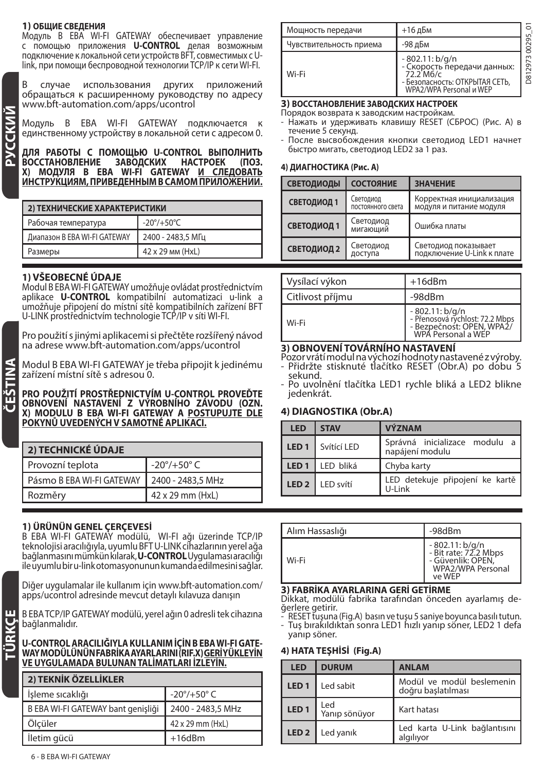#### **1) ОБЩИЕ СВЕДЕНИЯ**

**РУССКИЙ** 

**ČE ŠTINA**

**TÜRKÇE**

Модуль B EBA WI-FI GATEWAY обеспечивает управление с помощью приложения **U-CONTROL** делая возможным подключение к локальной сети устройств BFT, совместимых с Ulink, при помощи беспроводной технологии TCP/IP к сети WI-FI.

случае использования других приложений обращаться к расширенному руководству по адресу www.bft-automation.com/apps/ucontrol

Модуль B EBA WI-FI GATEWAY подключается к единственному устройству в локальной сети с адресом 0.

**ДЛЯ РАБОТЫ С ПОМОЩЬЮ U-CONTROL ВЫПОЛНИТЬ ВОССТАНОВЛЕНИЕ ЗАВОДСКИХ НАСТРОЕК (ПОЗ. X) МОДУЛЯ B EBA WI-FI GATEWAY И СЛЕДОВАТЬ ИНСТРУКЦИЯМ, ПРИВЕДЕННЫМ В САМОМ ПРИЛОЖЕНИИ.**

| 2) ТЕХНИЧЕСКИЕ ХАРАКТЕРИСТИКИ |                             |  |
|-------------------------------|-----------------------------|--|
| Рабочая температура           | $-20^{\circ}/+50^{\circ}$ C |  |
| Диапазон В EBA WI-FI GATEWAY  | 2400 - 2483,5 МГц           |  |
| Размеры                       | 42 x 29 MM (HxL)            |  |

#### **1) VŠEOBECNÉ ÚDAJE**

Modul B EBA WI-FI GATEWAY umožňuje ovládat prostřednictvím aplikace **U-CONTROL** kompatibilní automatizaci u-link a umožňuje připojení do místní sítě kompatibilních zařízení BFT U-LINK prostřednictvím technologie TCP/IP v síti WI-FI.

Pro použití s jinými aplikacemi si přečtěte rozšířený návod na adrese www.bft-automation.com/apps/ucontrol

Modul B EBA WI-FI GATEWAY je třeba připojit k jedinému zařízení místní sítě s adresou 0.

**PRO POUŽITÍ PROSTŘEDNICTVÍM U-CONTROL PROVEĎTE OBNOVENÍ NASTAVENÍ Z VÝROBNÍHO ZÁVODU (OZN. X) MODULU B EBA WI-FI GATEWAY A POSTUPUJTE DLE POKYNŮ UVEDENÝCH V SAMOTNÉ APLIKACI.**

| 2) TECHNICKÉ ÚDAJE        |                             |  |
|---------------------------|-----------------------------|--|
| Provozní teplota          | $-20^{\circ}/+50^{\circ}$ C |  |
| Pásmo B EBA WI-FI GATEWAY | 2400 - 2483,5 MHz           |  |
| Rozměry                   | 42 x 29 mm (HxL)            |  |

#### **1) ÜRÜNÜN GENEL ÇERÇEVESİ**

B EBA WI-FI GATEWAY modülü, WI-FI ağı üzerinde TCP/IP teknolojisi aracılığıyla, uyumlu BFT U-LINK cihazlarının yerel ağa bağlanmasını mümkün kılarak, **U-CONTROL** Uygulaması aracılığı ile uyumlu bir u-link otomasyonunun kumanda edilmesini sağlar.

Diğer uygulamalar ile kullanım için www.bft-automation.com/ apps/ucontrol adresinde mevcut detaylı kılavuza danışın

B EBA TCP/IP GATEWAY modülü, yerel ağın 0 adresli tek cihazına bağlanmalıdır.

#### **U-CONTROL ARACILIĞIYLA KULLANIM İÇİN B EBA WI-FI GATE- WAY MODÜLÜNÜN FABRİKA AYARLARINI (RIF.X) GERİ YÜKLEYİN VE UYGULAMADA BULUNAN TALİMATLARI İZLEYİN.**

| 2) TEKNİK ÖZELLİKLER               |                             |  |
|------------------------------------|-----------------------------|--|
| İşleme sıcaklığı                   | $-20^{\circ}/+50^{\circ}$ C |  |
| B EBA WI-FI GATEWAY bant genişliği | 2400 - 2483,5 MHz           |  |
| Ölcüler                            | 42 x 29 mm (HxL)            |  |
| İletim gücü                        | $+16$ d $Bm$                |  |

### **3) ВОССТАНОВЛЕНИЕ ЗАВОДСКИХ НАСТРОЕК**

- Нажать и удерживать клавишу RESET (СБРОС) (Рис. A) в

- течение 5 секунд.
- После высвобождения кнопки светодиод LED1 начнет быстро мигать, светодиод LED2 за 1 раз.

#### **4) ДИАГНОСТИКА (Рис. A)**

| <b>СВЕТОДИОДЫ</b> | <b>СОСТОЯНИЕ</b>               | <b>ЗНАЧЕНИЕ</b>                                     |
|-------------------|--------------------------------|-----------------------------------------------------|
| СВЕТОДИОД 1       | Светодиод<br>постоянного света | Корректная инициализация<br>модуля и питание модуля |
| СВЕТОДИОД 1       | Светодиод<br>мигающий          | Ошибка платы                                        |
| СВЕТОДИОД 2       | Светодиод<br>доступа           | Светодиод показывает<br>подключение U-Link к плате  |

| Vysílací výkon   | $+16dBm$                                                                                                |
|------------------|---------------------------------------------------------------------------------------------------------|
| Citlivost příjmu | -98dBm                                                                                                  |
| Wi-Fi            | - 802.11: b/g/n<br>- Přenosová rychlost: 72.2 Mbps<br>- Bezpečnost: OPEN, WPA2/<br>- WPA Personal a WEP |

#### **3) OBNOVENÍ TOVÁRNÍHO NASTAVENÍ**

Pozor vrátí modul na výchozí hodnoty nastavené z výroby. - Přidržte stisknuté tlačítko RESET (Obr.A) po dobu 5

sekund. - Po uvolnění tlačítka LED1 rychle bliká a LED2 blikne jedenkrát.

#### **4) DIAGNOSTIKA (Obr.A)**

| LED              | <b>STAV</b> | <b>VÝZNAM</b>                                    |  |
|------------------|-------------|--------------------------------------------------|--|
| LED <sub>1</sub> | Svítící LED | Správná inicializace modulu a<br>napájení modulu |  |
| LED <sub>1</sub> | LED bliká   | Chyba karty                                      |  |
| LED <sub>2</sub> | LED svítí   | LED detekuje připojení ke kartě<br>U-Link        |  |

| Alım Hassaslığı | -98dBm                                                                                               |
|-----------------|------------------------------------------------------------------------------------------------------|
| Wi-Fi           | $-802.11: b/q/n$<br>- Bit rate: 72.2 Mbps<br>- Güvenlik: OPEN.<br><b>WPA2/WPA Personal</b><br>ve WFP |

#### **3) FABRİKA AYARLARINA GERİ GETİRME**

Dikkat, modülü fabrika tarafından önceden ayarlamış de- ğerlere getirir.

RESET tuşuna (Fig.A) basın ve tuşu 5 saniye boyunca basılı tutun. - Tuş bırakıldıktan sonra LED1 hızlı yanıp söner, LED2 1 defa yanıp söner.

#### **4) HATA TEŞHİSİ (Fig.A)**

| <b>LED</b>       | <b>DURUM</b>         | <b>ANLAM</b>                                      |
|------------------|----------------------|---------------------------------------------------|
| LED <sub>1</sub> | Led sabit            | Modül ve modül beslemenin l<br>doğru başlatılması |
| LED <sub>1</sub> | Led<br>Yanıp sönüyor | Kart hatası                                       |
| LED <sub>2</sub> | Led yanık            | Led karta U-Link bağlantısını<br>algılıyor        |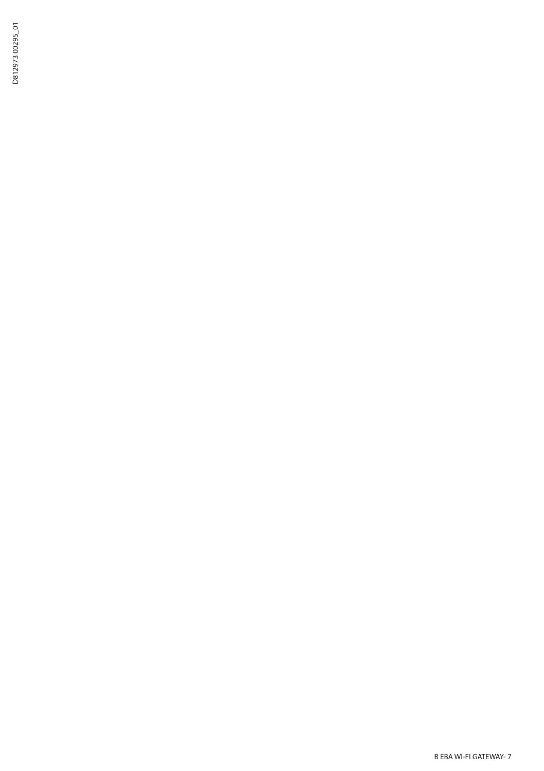D81297300295\_01 D812973 00295\_01